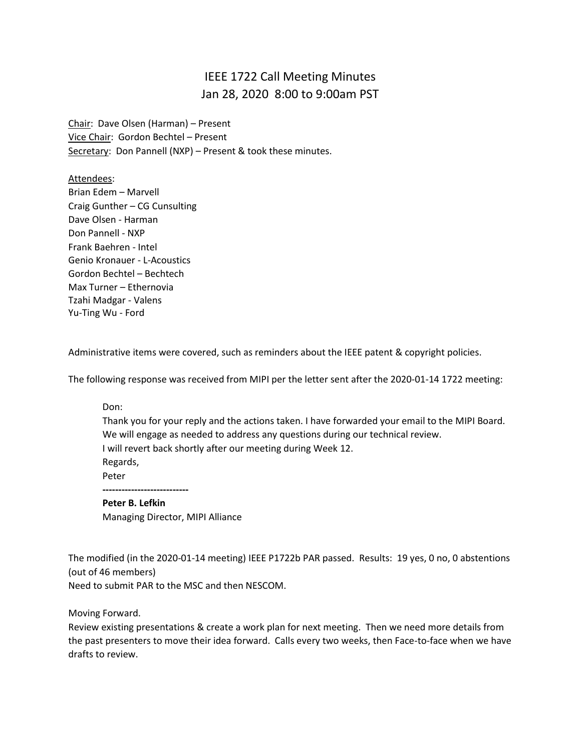## IEEE 1722 Call Meeting Minutes Jan 28, 2020 8:00 to 9:00am PST

Chair: Dave Olsen (Harman) – Present Vice Chair: Gordon Bechtel – Present Secretary: Don Pannell (NXP) - Present & took these minutes.

Attendees: Brian Edem – Marvell Craig Gunther – CG Cunsulting Dave Olsen - Harman Don Pannell - NXP Frank Baehren - Intel Genio Kronauer - L-Acoustics Gordon Bechtel – Bechtech Max Turner – Ethernovia Tzahi Madgar - Valens Yu-Ting Wu - Ford

Administrative items were covered, such as reminders about the IEEE patent & copyright policies.

The following response was received from MIPI per the letter sent after the 2020-01-14 1722 meeting:

## Don:

Thank you for your reply and the actions taken. I have forwarded your email to the MIPI Board. We will engage as needed to address any questions during our technical review. I will revert back shortly after our meeting during Week 12. Regards, Peter **Peter B. Lefkin** Managing Director, MIPI Alliance

The modified (in the 2020-01-14 meeting) IEEE P1722b PAR passed. Results: 19 yes, 0 no, 0 abstentions (out of 46 members)

Need to submit PAR to the MSC and then NESCOM.

Moving Forward.

Review existing presentations & create a work plan for next meeting. Then we need more details from the past presenters to move their idea forward. Calls every two weeks, then Face-to-face when we have drafts to review.